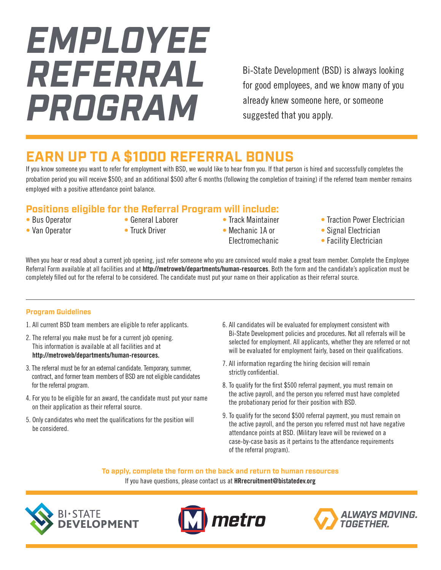# *EMPLOYEE REFERRAL PROGRAM*

Bi-State Development (BSD) is always looking for good employees, and we know many of you already knew someone here, or someone suggested that you apply.

## **EARN UP TO A \$1000 REFERRAL BONUS**

If you know someone you want to refer for employment with BSD, we would like to hear from you. If that person is hired and successfully completes the probation period you will receive \$500; and an additional \$500 after 6 months (following the completion of training) if the referred team member remains employed with a positive attendance point balance.

#### **Positions eligible for the Referral Program will include:**

- Bus Operator • Van Operator
- General Laborer
- Truck Driver
- Track Maintainer • Mechanic 1A or
	- Electromechanic
- Traction Power Electrician
- Signal Electrician
- Facility Electrician

When you hear or read about a current job opening, just refer someone who you are convinced would make a great team member. Complete the Employee Referral Form available at all facilities and at http://metroweb/departments/human-resources. Both the form and the candidate's application must be completely filled out for the referral to be considered. The candidate must put your name on their application as their referral source.

#### **Program Guidelines**

- 1. All current BSD team members are eligible to refer applicants.
- 2. The referral you make must be for a current job opening. This information is available at all facilities and at http://metroweb/departments/human-resources.
- 3. The referral must be for an external candidate. Temporary, summer, contract, and former team members of BSD are not eligible candidates for the referral program.
- 4. For you to be eligible for an award, the candidate must put your name on their application as their referral source.
- 5. Only candidates who meet the qualifications for the position will be considered.
- 6. All candidates will be evaluated for employment consistent with Bi-State Development policies and procedures. Not all referrals will be selected for employment. All applicants, whether they are referred or not will be evaluated for employment fairly, based on their qualifications.
- 7. All information regarding the hiring decision will remain strictly confidential.
- 8. To qualify for the first \$500 referral payment, you must remain on the active payroll, and the person you referred must have completed the probationary period for their position with BSD.
- 9. To qualify for the second \$500 referral payment, you must remain on the active payroll, and the person you referred must not have negative attendance points at BSD. (Military leave will be reviewed on a case-by-case basis as it pertains to the attendance requirements of the referral program).

**To apply, complete the form on the back and return to human resources**

If you have questions, please contact us at **HRrecruitment@bistatedev.org**